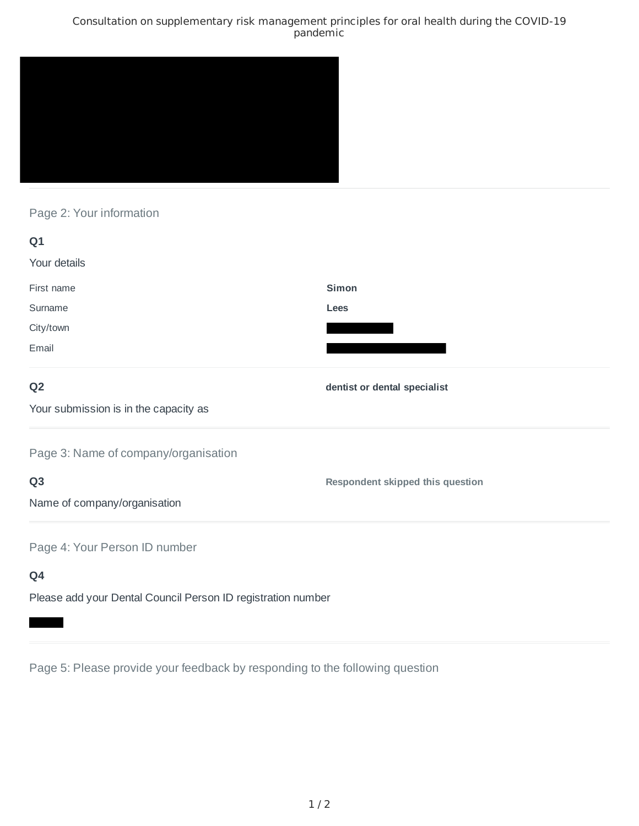### Consultation on supplementary risk management principles for oral health during the COVID-19 pandemic



# Page 2: Your information

| Q1                                                           |                                  |
|--------------------------------------------------------------|----------------------------------|
| Your details                                                 |                                  |
| First name                                                   | <b>Simon</b>                     |
| Surname                                                      | Lees                             |
| City/town                                                    |                                  |
| Email                                                        |                                  |
| Q <sub>2</sub>                                               | dentist or dental specialist     |
| Your submission is in the capacity as                        |                                  |
| Page 3: Name of company/organisation                         |                                  |
| Q <sub>3</sub>                                               | Respondent skipped this question |
| Name of company/organisation                                 |                                  |
| Page 4: Your Person ID number                                |                                  |
| Q4                                                           |                                  |
| Please add your Dental Council Person ID registration number |                                  |

Page 5: Please provide your feedback by responding to the following question